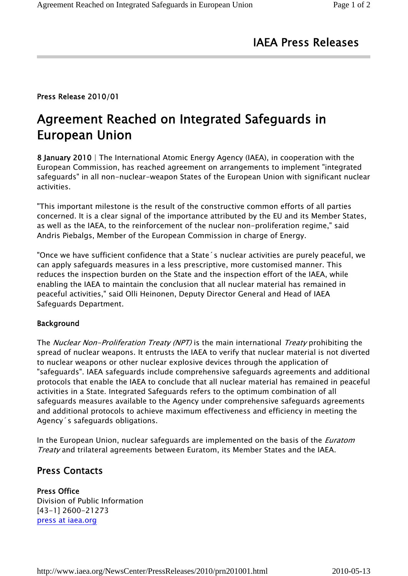# IAEA Press Releases

## Press Release 2010/01

# Agreement Reached on Integrated Safeguards in European Union

8 January 2010 | The International Atomic Energy Agency (IAEA), in cooperation with the European Commission, has reached agreement on arrangements to implement "integrated safeguards" in all non-nuclear-weapon States of the European Union with significant nuclear activities.

"This important milestone is the result of the constructive common efforts of all parties concerned. It is a clear signal of the importance attributed by the EU and its Member States, as well as the IAEA, to the reinforcement of the nuclear non-proliferation regime," said Andris Piebalgs, Member of the European Commission in charge of Energy.

"Once we have sufficient confidence that a State´s nuclear activities are purely peaceful, we can apply safeguards measures in a less prescriptive, more customised manner. This reduces the inspection burden on the State and the inspection effort of the IAEA, while enabling the IAEA to maintain the conclusion that all nuclear material has remained in peaceful activities," said Olli Heinonen, Deputy Director General and Head of IAEA Safeguards Department.

#### Background

The *Nuclear Non-Proliferation Treaty (NPT)* is the main international *Treaty* prohibiting the spread of nuclear weapons. It entrusts the IAEA to verify that nuclear material is not diverted to nuclear weapons or other nuclear explosive devices through the application of "safeguards". IAEA safeguards include comprehensive safeguards agreements and additional protocols that enable the IAEA to conclude that all nuclear material has remained in peaceful activities in a State. Integrated Safeguards refers to the optimum combination of all safeguards measures available to the Agency under comprehensive safeguards agreements and additional protocols to achieve maximum effectiveness and efficiency in meeting the Agency´s safeguards obligations.

In the European Union, nuclear safeguards are implemented on the basis of the *Euratom* Treaty and trilateral agreements between Euratom, its Member States and the IAEA.

## Press Contacts

### Press Office Division of Public Information

[43-1] 2600-21273 press at iaea.org